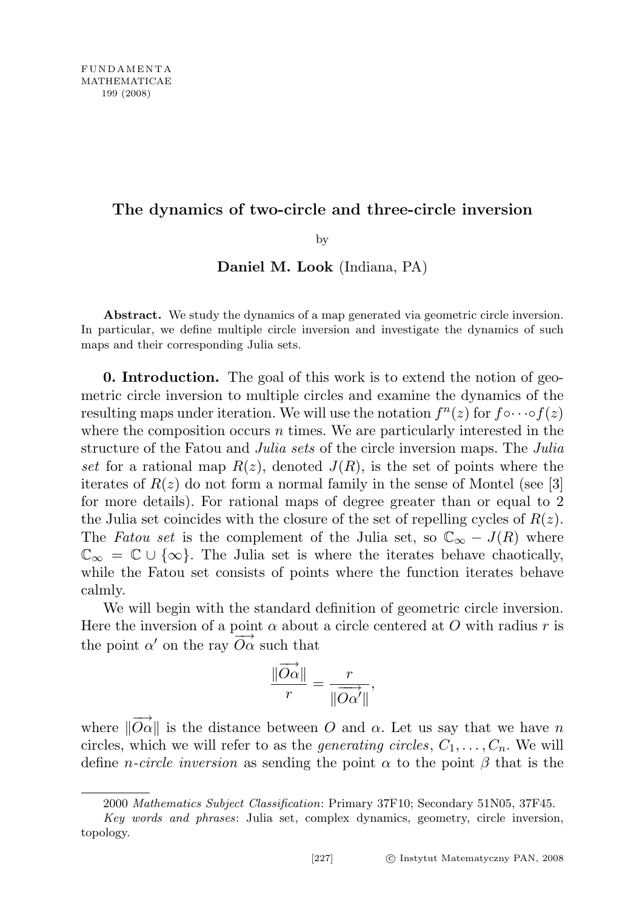# The dynamics of two-circle and three-circle inversion

by

Daniel M. Look (Indiana, PA)

Abstract. We study the dynamics of a map generated via geometric circle inversion. In particular, we define multiple circle inversion and investigate the dynamics of such maps and their corresponding Julia sets.

0. Introduction. The goal of this work is to extend the notion of geometric circle inversion to multiple circles and examine the dynamics of the resulting maps under iteration. We will use the notation  $f^{n}(z)$  for  $f \circ \cdots \circ f(z)$ where the composition occurs  $n$  times. We are particularly interested in the structure of the Fatou and *Julia sets* of the circle inversion maps. The *Julia* set for a rational map  $R(z)$ , denoted  $J(R)$ , is the set of points where the iterates of  $R(z)$  do not form a normal family in the sense of Montel (see [3] for more details). For rational maps of degree greater than or equal to 2 the Julia set coincides with the closure of the set of repelling cycles of  $R(z)$ . The Fatou set is the complement of the Julia set, so  $\mathbb{C}_{\infty} - J(R)$  where  $\mathbb{C}_{\infty} = \mathbb{C} \cup \{\infty\}.$  The Julia set is where the iterates behave chaotically, while the Fatou set consists of points where the function iterates behave calmly.

We will begin with the standard definition of geometric circle inversion. Here the inversion of a point  $\alpha$  about a circle centered at O with radius r is the point  $\alpha'$  on the ray  $\overrightarrow{O\alpha}$  such that

$$
\frac{\|\overrightarrow{O\alpha}\|}{r} = \frac{r}{\|\overrightarrow{O\alpha'}\|},
$$

where  $\|\overrightarrow{O\alpha}\|$  is the distance between O and  $\alpha$ . Let us say that we have n circles, which we will refer to as the *generating circles*,  $C_1, \ldots, C_n$ . We will define *n-circle inversion* as sending the point  $\alpha$  to the point  $\beta$  that is the

<sup>2000</sup> Mathematics Subject Classification: Primary 37F10; Secondary 51N05, 37F45.

Key words and phrases: Julia set, complex dynamics, geometry, circle inversion, topology.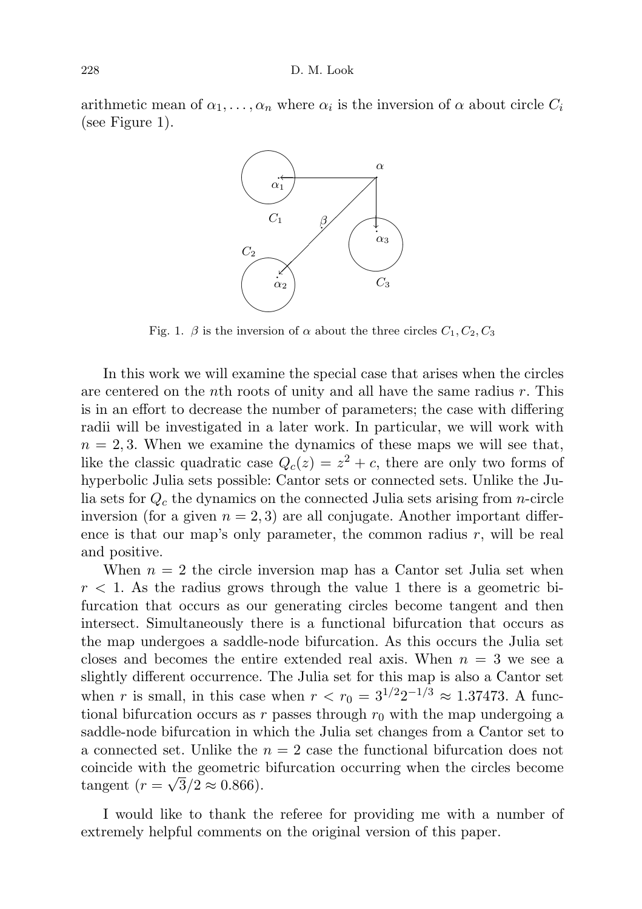arithmetic mean of  $\alpha_1, \ldots, \alpha_n$  where  $\alpha_i$  is the inversion of  $\alpha$  about circle  $C_i$ (see Figure 1).



Fig. 1.  $\beta$  is the inversion of  $\alpha$  about the three circles  $C_1, C_2, C_3$ 

In this work we will examine the special case that arises when the circles are centered on the nth roots of unity and all have the same radius  $r$ . This is in an effort to decrease the number of parameters; the case with differing radii will be investigated in a later work. In particular, we will work with  $n = 2, 3$ . When we examine the dynamics of these maps we will see that, like the classic quadratic case  $Q_c(z) = z^2 + c$ , there are only two forms of hyperbolic Julia sets possible: Cantor sets or connected sets. Unlike the Julia sets for  $Q_c$  the dynamics on the connected Julia sets arising from *n*-circle inversion (for a given  $n = 2, 3$ ) are all conjugate. Another important difference is that our map's only parameter, the common radius  $r$ , will be real and positive.

When  $n = 2$  the circle inversion map has a Cantor set Julia set when  $r < 1$ . As the radius grows through the value 1 there is a geometric bifurcation that occurs as our generating circles become tangent and then intersect. Simultaneously there is a functional bifurcation that occurs as the map undergoes a saddle-node bifurcation. As this occurs the Julia set closes and becomes the entire extended real axis. When  $n = 3$  we see a slightly different occurrence. The Julia set for this map is also a Cantor set when r is small, in this case when  $r < r_0 = 3^{1/2} 2^{-1/3} \approx 1.37473$ . A functional bifurcation occurs as r passes through  $r_0$  with the map undergoing a saddle-node bifurcation in which the Julia set changes from a Cantor set to a connected set. Unlike the  $n = 2$  case the functional bifurcation does not coincide with the geometric bifurcation occurring when the circles become √ tangent  $(r = \sqrt{3}/2 \approx 0.866)$ .

I would like to thank the referee for providing me with a number of extremely helpful comments on the original version of this paper.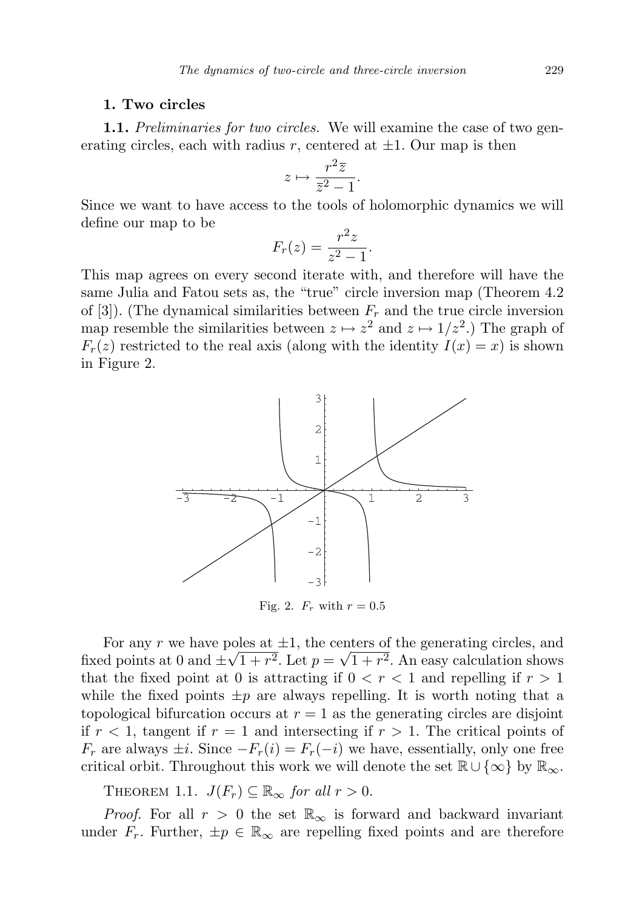# 1. Two circles

1.1. Preliminaries for two circles. We will examine the case of two generating circles, each with radius r, centered at  $\pm 1$ . Our map is then

$$
z \mapsto \frac{r^2 \overline{z}}{\overline{z}^2 - 1}.
$$

Since we want to have access to the tools of holomorphic dynamics we will define our map to be

$$
F_r(z) = \frac{r^2 z}{z^2 - 1}.
$$

This map agrees on every second iterate with, and therefore will have the same Julia and Fatou sets as, the "true" circle inversion map (Theorem 4.2 of [3]). (The dynamical similarities between  $F_r$  and the true circle inversion map resemble the similarities between  $z \mapsto z^2$  and  $z \mapsto 1/z^2$ .) The graph of  $F_r(z)$  restricted to the real axis (along with the identity  $I(x) = x$ ) is shown in Figure 2.



For any r we have poles at  $\pm 1$ , the centers of the generating circles, and fixed points at 0 and  $\pm\sqrt{1+r^2}$ . Let  $p=\sqrt{1+r^2}$ . An easy calculation shows that the fixed point at 0 is attracting if  $0 < r < 1$  and repelling if  $r > 1$ while the fixed points  $\pm p$  are always repelling. It is worth noting that a topological bifurcation occurs at  $r = 1$  as the generating circles are disjoint if  $r < 1$ , tangent if  $r = 1$  and intersecting if  $r > 1$ . The critical points of  $F_r$  are always  $\pm i$ . Since  $-F_r(i) = F_r(-i)$  we have, essentially, only one free critical orbit. Throughout this work we will denote the set  $\mathbb{R} \cup \{\infty\}$  by  $\mathbb{R}_{\infty}$ .

THEOREM 1.1.  $J(F_r) \subseteq \mathbb{R}_{\infty}$  for all  $r > 0$ .

*Proof.* For all  $r > 0$  the set  $\mathbb{R}_{\infty}$  is forward and backward invariant under  $F_r$ . Further,  $\pm p \in \mathbb{R}_{\infty}$  are repelling fixed points and are therefore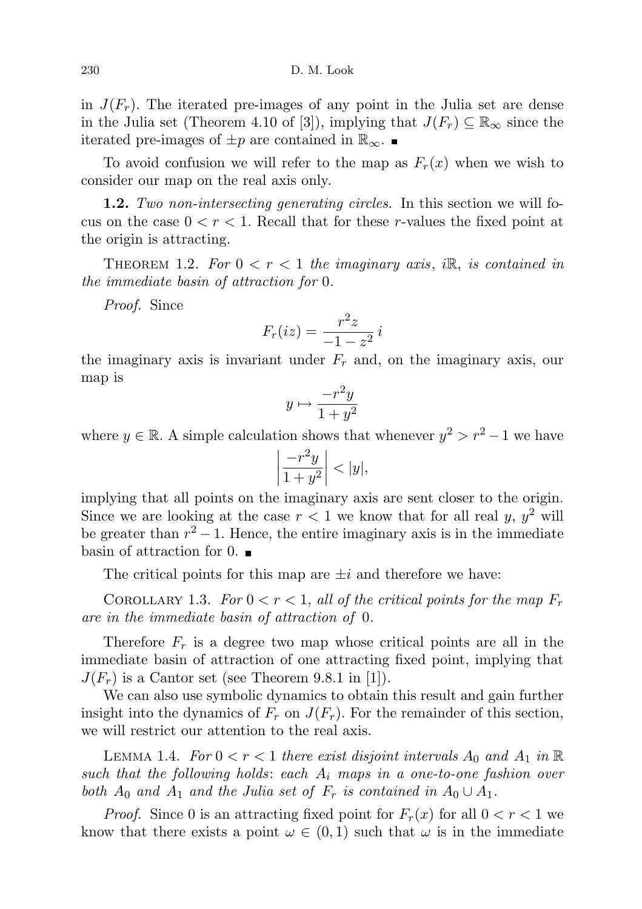in  $J(F_r)$ . The iterated pre-images of any point in the Julia set are dense in the Julia set (Theorem 4.10 of [3]), implying that  $J(F_r) \subseteq \mathbb{R}_{\infty}$  since the iterated pre-images of  $\pm p$  are contained in  $\mathbb{R}_{\infty}$ . ■

To avoid confusion we will refer to the map as  $F_r(x)$  when we wish to consider our map on the real axis only.

1.2. Two non-intersecting generating circles. In this section we will focus on the case  $0 < r < 1$ . Recall that for these r-values the fixed point at the origin is attracting.

THEOREM 1.2. For  $0 < r < 1$  the imaginary axis, i.e., is contained in the immediate basin of attraction for 0.

Proof. Since

$$
F_r(iz) = \frac{r^2z}{-1 - z^2}i
$$

the imaginary axis is invariant under  $F_r$  and, on the imaginary axis, our map is

$$
y\mapsto \frac{-r^2y}{1+y^2}
$$

where  $y \in \mathbb{R}$ . A simple calculation shows that whenever  $y^2 > r^2 - 1$  we have

$$
\left|\frac{-r^2y}{1+y^2}\right| < |y|,
$$

implying that all points on the imaginary axis are sent closer to the origin. Since we are looking at the case  $r < 1$  we know that for all real y,  $y^2$  will be greater than  $r^2 - 1$ . Hence, the entire imaginary axis is in the immediate basin of attraction for  $0.$ 

The critical points for this map are  $\pm i$  and therefore we have:

COROLLARY 1.3. For  $0 < r < 1$ , all of the critical points for the map  $F_r$ are in the immediate basin of attraction of 0.

Therefore  $F_r$  is a degree two map whose critical points are all in the immediate basin of attraction of one attracting fixed point, implying that  $J(F_r)$  is a Cantor set (see Theorem 9.8.1 in [1]).

We can also use symbolic dynamics to obtain this result and gain further insight into the dynamics of  $F_r$  on  $J(F_r)$ . For the remainder of this section, we will restrict our attention to the real axis.

LEMMA 1.4. For  $0 < r < 1$  there exist disjoint intervals  $A_0$  and  $A_1$  in  $\mathbb R$ such that the following holds: each  $A_i$  maps in a one-to-one fashion over both  $A_0$  and  $A_1$  and the Julia set of  $F_r$  is contained in  $A_0 \cup A_1$ .

*Proof.* Since 0 is an attracting fixed point for  $F_r(x)$  for all  $0 < r < 1$  we know that there exists a point  $\omega \in (0,1)$  such that  $\omega$  is in the immediate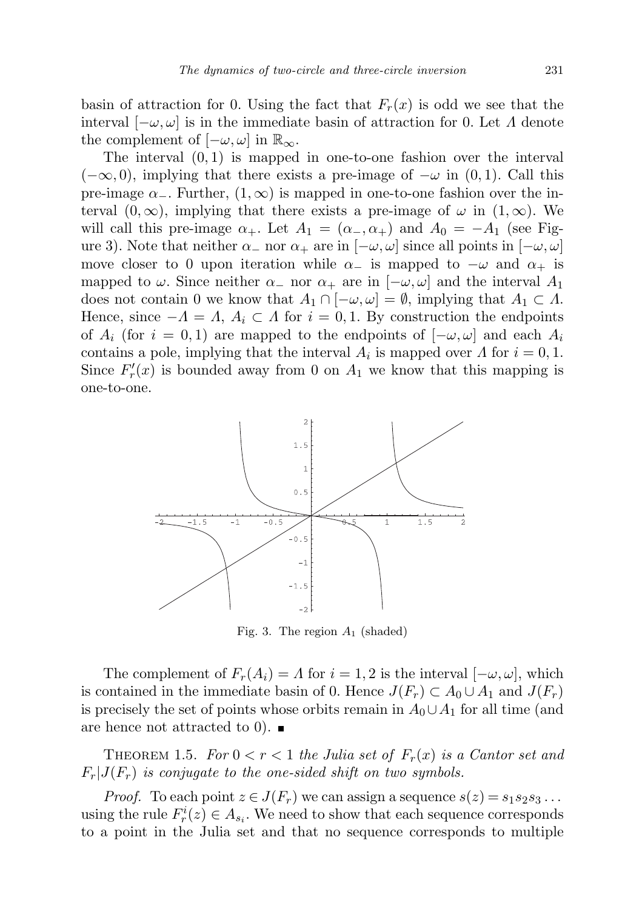basin of attraction for 0. Using the fact that  $F_r(x)$  is odd we see that the interval  $[-\omega, \omega]$  is in the immediate basin of attraction for 0. Let  $\Lambda$  denote the complement of  $[-\omega, \omega]$  in  $\mathbb{R}_{\infty}$ .

The interval  $(0, 1)$  is mapped in one-to-one fashion over the interval  $(-\infty, 0)$ , implying that there exists a pre-image of  $-\omega$  in  $(0, 1)$ . Call this pre-image  $\alpha_{-}$ . Further,  $(1,\infty)$  is mapped in one-to-one fashion over the interval  $(0, \infty)$ , implying that there exists a pre-image of  $\omega$  in  $(1, \infty)$ . We will call this pre-image  $\alpha_+$ . Let  $A_1 = (\alpha_-, \alpha_+)$  and  $A_0 = -A_1$  (see Figure 3). Note that neither  $\alpha_-\text{ nor } \alpha_+$  are in  $[-\omega, \omega]$  since all points in  $[-\omega, \omega]$ move closer to 0 upon iteration while  $\alpha_-\;$  is mapped to  $-\omega$  and  $\alpha_+\;$  is mapped to  $\omega$ . Since neither  $\alpha$  nor  $\alpha_+$  are in  $[-\omega, \omega]$  and the interval  $A_1$ does not contain 0 we know that  $A_1 \cap [-\omega, \omega] = \emptyset$ , implying that  $A_1 \subset A$ . Hence, since  $-A = \Lambda$ ,  $A_i \subset \Lambda$  for  $i = 0, 1$ . By construction the endpoints of  $A_i$  (for  $i = 0, 1$ ) are mapped to the endpoints of  $[-\omega, \omega]$  and each  $A_i$ contains a pole, implying that the interval  $A_i$  is mapped over  $\Lambda$  for  $i = 0, 1$ . Since  $F'_r(x)$  is bounded away from 0 on  $A_1$  we know that this mapping is one-to-one.



Fig. 3. The region  $A_1$  (shaded)

The complement of  $F_r(A_i) = \Lambda$  for  $i = 1, 2$  is the interval  $[-\omega, \omega]$ , which is contained in the immediate basin of 0. Hence  $J(F_r) \subset A_0 \cup A_1$  and  $J(F_r)$ is precisely the set of points whose orbits remain in  $A_0 \cup A_1$  for all time (and are hence not attracted to 0).  $\blacksquare$ 

THEOREM 1.5. For  $0 < r < 1$  the Julia set of  $F_r(x)$  is a Cantor set and  $F_r|J(F_r)$  is conjugate to the one-sided shift on two symbols.

*Proof.* To each point  $z \in J(F_r)$  we can assign a sequence  $s(z) = s_1 s_2 s_3 \dots$ using the rule  $F_r^i(z) \in A_{s_i}$ . We need to show that each sequence corresponds to a point in the Julia set and that no sequence corresponds to multiple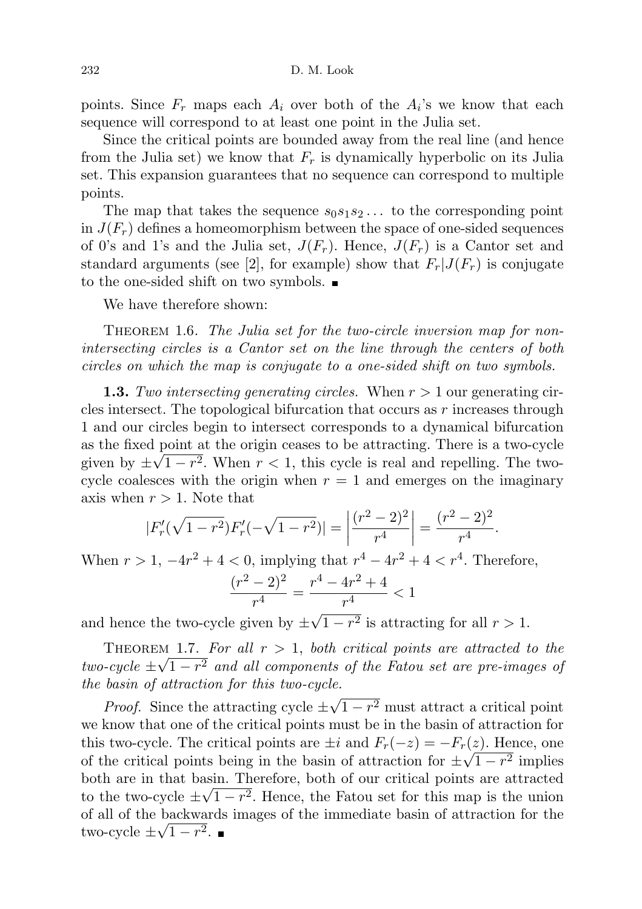points. Since  $F_r$  maps each  $A_i$  over both of the  $A_i$ 's we know that each sequence will correspond to at least one point in the Julia set.

Since the critical points are bounded away from the real line (and hence from the Julia set) we know that  $F_r$  is dynamically hyperbolic on its Julia set. This expansion guarantees that no sequence can correspond to multiple points.

The map that takes the sequence  $s_0s_1s_2...$  to the corresponding point in  $J(F_r)$  defines a homeomorphism between the space of one-sided sequences of 0's and 1's and the Julia set,  $J(F_r)$ . Hence,  $J(F_r)$  is a Cantor set and standard arguments (see [2], for example) show that  $F_r|J(F_r)$  is conjugate to the one-sided shift on two symbols.

We have therefore shown:

THEOREM 1.6. The Julia set for the two-circle inversion map for nonintersecting circles is a Cantor set on the line through the centers of both circles on which the map is conjugate to a one-sided shift on two symbols.

**1.3.** Two intersecting generating circles. When  $r > 1$  our generating circles intersect. The topological bifurcation that occurs as r increases through 1 and our circles begin to intersect corresponds to a dynamical bifurcation as the fixed point at the origin ceases to be attracting. There is a two-cycle given by  $\pm\sqrt{1-r^2}$ . When  $r<1$ , this cycle is real and repelling. The twocycle coalesces with the origin when  $r = 1$  and emerges on the imaginary axis when  $r > 1$ . Note that

$$
|F'_r(\sqrt{1-r^2})F'_r(-\sqrt{1-r^2})| = \left|\frac{(r^2-2)^2}{r^4}\right| = \frac{(r^2-2)^2}{r^4}.
$$

When  $r > 1, -4r^2 + 4 < 0$ , implying that  $r^4 - 4r^2 + 4 < r^4$ . Therefore,

$$
\frac{(r^2-2)^2}{r^4} = \frac{r^4 - 4r^2 + 4}{r^4} < 1
$$

and hence the two-cycle given by  $\pm$  $\overline{1-r^2}$  is attracting for all  $r>1$ .

THEOREM 1.7. For all  $r > 1$ , both critical points are attracted to the two-cycle  $\pm \sqrt{1-r^2}$  and all components of the Fatou set are pre-images of the basin of attraction for this two-cycle. √

*Proof.* Since the attracting cycle  $\pm$  $\sqrt{1-r^2}$  must attract a critical point we know that one of the critical points must be in the basin of attraction for this two-cycle. The critical points are  $\pm i$  and  $F_r(-z) = -F_r(z)$ . Hence, one of the critical points being in the basin of attraction for  $\pm \sqrt{1-r^2}$  implies both are in that basin. Therefore, both of our critical points are attracted to the two-cycle  $\pm\sqrt{1-r^2}$ . Hence, the Fatou set for this map is the union of all of the backwards images of the immediate basin of attraction for the √ two-cycle  $\pm\sqrt{1-r^2}$ .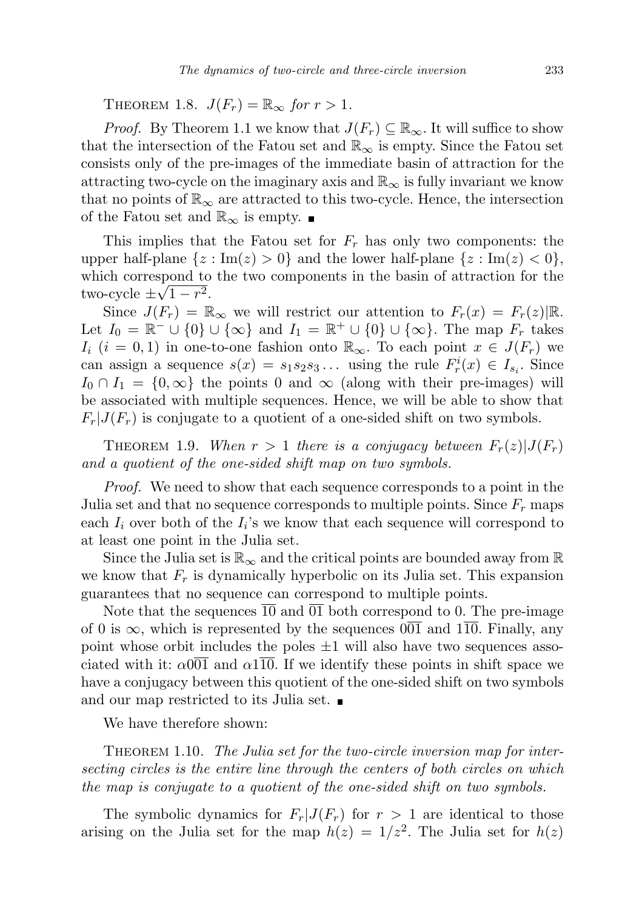THEOREM 1.8.  $J(F_r) = \mathbb{R}_{\infty}$  for  $r > 1$ .

*Proof.* By Theorem 1.1 we know that  $J(F_r) \subseteq \mathbb{R}_{\infty}$ . It will suffice to show that the intersection of the Fatou set and  $\mathbb{R}_{\infty}$  is empty. Since the Fatou set consists only of the pre-images of the immediate basin of attraction for the attracting two-cycle on the imaginary axis and  $\mathbb{R}_{\infty}$  is fully invariant we know that no points of  $\mathbb{R}_{\infty}$  are attracted to this two-cycle. Hence, the intersection of the Fatou set and  $\mathbb{R}_{\infty}$  is empty.  $\blacksquare$ 

This implies that the Fatou set for  $F_r$  has only two components: the upper half-plane  $\{z : \text{Im}(z) > 0\}$  and the lower half-plane  $\{z : \text{Im}(z) < 0\}$ , which correspond to the two components in the basin of attraction for the two-cycle  $\pm\sqrt{1-r^2}$ .

Since  $J(F_r) = \mathbb{R}_{\infty}$  we will restrict our attention to  $F_r(x) = F_r(z) \mathbb{R}$ . Let  $I_0 = \mathbb{R}^- \cup \{0\} \cup \{\infty\}$  and  $I_1 = \mathbb{R}^+ \cup \{0\} \cup \{\infty\}$ . The map  $F_r$  takes  $I_i$  (i = 0, 1) in one-to-one fashion onto  $\mathbb{R}_{\infty}$ . To each point  $x \in J(F_r)$  we can assign a sequence  $s(x) = s_1 s_2 s_3 \dots$  using the rule  $F_r^i(x) \in I_{s_i}$ . Since  $I_0 \cap I_1 = \{0, \infty\}$  the points 0 and  $\infty$  (along with their pre-images) will be associated with multiple sequences. Hence, we will be able to show that  $F_r|J(F_r)$  is conjugate to a quotient of a one-sided shift on two symbols.

THEOREM 1.9. When  $r > 1$  there is a conjugacy between  $F_r(z)|J(F_r)$ and a quotient of the one-sided shift map on two symbols.

Proof. We need to show that each sequence corresponds to a point in the Julia set and that no sequence corresponds to multiple points. Since  $F_r$  maps each  $I_i$  over both of the  $I_i$ 's we know that each sequence will correspond to at least one point in the Julia set.

Since the Julia set is  $\mathbb{R}_{\infty}$  and the critical points are bounded away from  $\mathbb{R}$ we know that  $F_r$  is dynamically hyperbolic on its Julia set. This expansion guarantees that no sequence can correspond to multiple points.

Note that the sequences 10 and 01 both correspond to 0. The pre-image of 0 is  $\infty$ , which is represented by the sequences  $\overline{001}$  and  $\overline{110}$ . Finally, any point whose orbit includes the poles  $\pm 1$  will also have two sequences associated with it:  $\alpha$ 001 and  $\alpha$ 110. If we identify these points in shift space we have a conjugacy between this quotient of the one-sided shift on two symbols and our map restricted to its Julia set.

We have therefore shown:

THEOREM 1.10. The Julia set for the two-circle inversion map for intersecting circles is the entire line through the centers of both circles on which the map is conjugate to a quotient of the one-sided shift on two symbols.

The symbolic dynamics for  $F_r|J(F_r)$  for  $r > 1$  are identical to those arising on the Julia set for the map  $h(z) = 1/z^2$ . The Julia set for  $h(z)$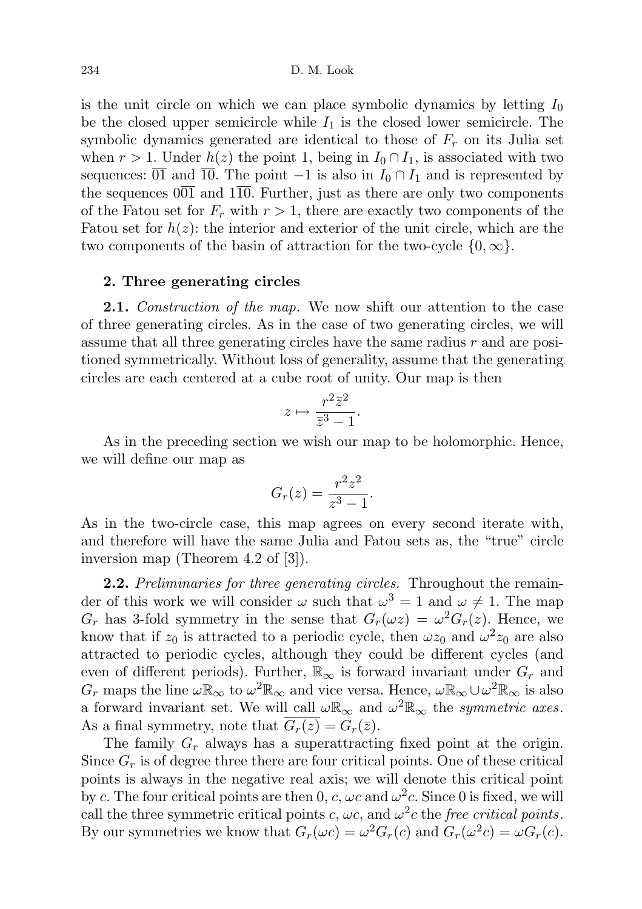is the unit circle on which we can place symbolic dynamics by letting  $I_0$ be the closed upper semicircle while  $I_1$  is the closed lower semicircle. The symbolic dynamics generated are identical to those of  $F_r$  on its Julia set when  $r > 1$ . Under  $h(z)$  the point 1, being in  $I_0 \cap I_1$ , is associated with two sequences:  $\overline{01}$  and  $\overline{10}$ . The point  $-1$  is also in  $I_0 \cap I_1$  and is represented by the sequences  $0\overline{01}$  and  $1\overline{10}$ . Further, just as there are only two components of the Fatou set for  $F_r$  with  $r > 1$ , there are exactly two components of the Fatou set for  $h(z)$ : the interior and exterior of the unit circle, which are the two components of the basin of attraction for the two-cycle  $\{0,\infty\}$ .

# 2. Three generating circles

**2.1.** Construction of the map. We now shift our attention to the case of three generating circles. As in the case of two generating circles, we will assume that all three generating circles have the same radius r and are positioned symmetrically. Without loss of generality, assume that the generating circles are each centered at a cube root of unity. Our map is then

$$
z \mapsto \frac{r^2 \overline{z}^2}{\overline{z}^3 - 1}.
$$

As in the preceding section we wish our map to be holomorphic. Hence, we will define our map as

$$
G_r(z) = \frac{r^2 z^2}{z^3 - 1}.
$$

As in the two-circle case, this map agrees on every second iterate with, and therefore will have the same Julia and Fatou sets as, the "true" circle inversion map (Theorem 4.2 of [3]).

2.2. Preliminaries for three generating circles. Throughout the remainder of this work we will consider  $\omega$  such that  $\omega^3 = 1$  and  $\omega \neq 1$ . The map  $G_r$  has 3-fold symmetry in the sense that  $G_r(\omega z) = \omega^2 G_r(z)$ . Hence, we know that if  $z_0$  is attracted to a periodic cycle, then  $\omega z_0$  and  $\omega^2 z_0$  are also attracted to periodic cycles, although they could be different cycles (and even of different periods). Further,  $\mathbb{R}_{\infty}$  is forward invariant under  $G_r$  and  $G_r$  maps the line  $\omega \mathbb{R}_{\infty}$  to  $\omega^2 \mathbb{R}_{\infty}$  and vice versa. Hence,  $\omega \mathbb{R}_{\infty} \cup \omega^2 \mathbb{R}_{\infty}$  is also a forward invariant set. We will call  $\omega \mathbb{R}_{\infty}$  and  $\omega^2 \mathbb{R}_{\infty}$  the *symmetric axes*. As a final symmetry, note that  $G_r(z) = G_r(\overline{z})$ .

The family  $G_r$  always has a superattracting fixed point at the origin. Since  $G_r$  is of degree three there are four critical points. One of these critical points is always in the negative real axis; we will denote this critical point by c. The four critical points are then 0, c,  $\omega c$  and  $\omega^2 c$ . Since 0 is fixed, we will call the three symmetric critical points c,  $\omega c$ , and  $\omega^2 c$  the free critical points. By our symmetries we know that  $G_r(\omega c) = \omega^2 G_r(c)$  and  $G_r(\omega^2 c) = \omega G_r(c)$ .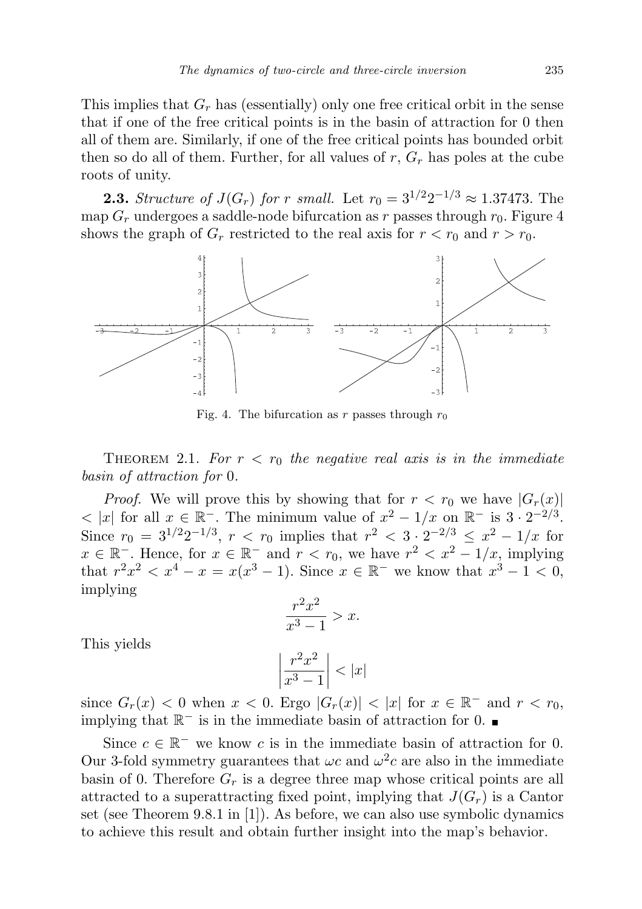This implies that  $G_r$  has (essentially) only one free critical orbit in the sense that if one of the free critical points is in the basin of attraction for 0 then all of them are. Similarly, if one of the free critical points has bounded orbit then so do all of them. Further, for all values of  $r$ ,  $G_r$  has poles at the cube roots of unity.

**2.3.** Structure of  $J(G_r)$  for r small. Let  $r_0 = 3^{1/2}2^{-1/3} \approx 1.37473$ . The map  $G_r$  undergoes a saddle-node bifurcation as r passes through  $r_0$ . Figure 4 shows the graph of  $G_r$  restricted to the real axis for  $r < r_0$  and  $r > r_0$ .



Fig. 4. The bifurcation as r passes through  $r_0$ 

THEOREM 2.1. For  $r < r_0$  the negative real axis is in the immediate basin of attraction for 0.

*Proof.* We will prove this by showing that for  $r < r_0$  we have  $|G_r(x)|$  $\langle x | x$  for all  $x \in \mathbb{R}^-$ . The minimum value of  $x^2 - 1/x$  on  $\mathbb{R}^-$  is  $3 \cdot 2^{-2/3}$ . Since  $r_0 = 3^{1/2}2^{-1/3}$ ,  $r < r_0$  implies that  $r^2 < 3 \cdot 2^{-2/3} \leq x^2 - 1/x$  for  $x \in \mathbb{R}^-\text{. Hence, for } x \in \mathbb{R}^-\text{ and } r < r_0$ , we have  $r^2 < x^2 - 1/x$ , implying that  $r^2x^2 < x^4 - x = x(x^3 - 1)$ . Since  $x \in \mathbb{R}^-$  we know that  $x^3 - 1 < 0$ , implying

$$
\frac{r^2x^2}{x^3-1} > x.
$$

This yields

$$
\left|\frac{r^2x^2}{x^3-1}\right| < |x|
$$

since  $G_r(x) < 0$  when  $x < 0$ . Ergo  $|G_r(x)| < |x|$  for  $x \in \mathbb{R}^-$  and  $r < r_0$ , implying that  $\mathbb{R}^-$  is in the immediate basin of attraction for 0.

Since  $c \in \mathbb{R}^-$  we know c is in the immediate basin of attraction for 0. Our 3-fold symmetry guarantees that  $\omega c$  and  $\omega^2 c$  are also in the immediate basin of 0. Therefore  $G_r$  is a degree three map whose critical points are all attracted to a superattracting fixed point, implying that  $J(G_r)$  is a Cantor set (see Theorem 9.8.1 in [1]). As before, we can also use symbolic dynamics to achieve this result and obtain further insight into the map's behavior.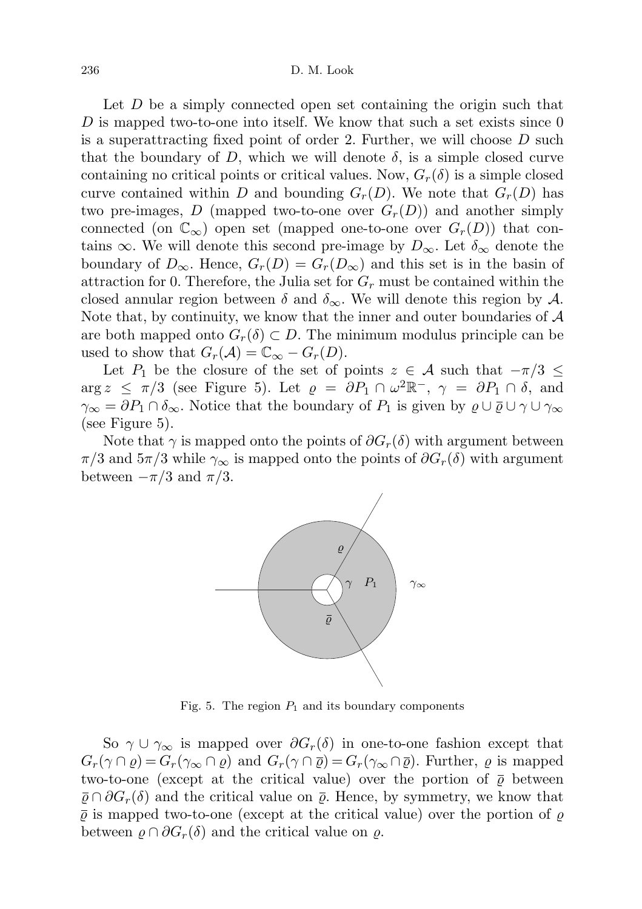Let D be a simply connected open set containing the origin such that D is mapped two-to-one into itself. We know that such a set exists since  $0$ is a superattracting fixed point of order 2. Further, we will choose D such that the boundary of D, which we will denote  $\delta$ , is a simple closed curve containing no critical points or critical values. Now,  $G_r(\delta)$  is a simple closed curve contained within D and bounding  $G_r(D)$ . We note that  $G_r(D)$  has two pre-images, D (mapped two-to-one over  $G_r(D)$ ) and another simply connected (on  $\mathbb{C}_{\infty}$ ) open set (mapped one-to-one over  $G_r(D)$ ) that contains  $\infty$ . We will denote this second pre-image by  $D_{\infty}$ . Let  $\delta_{\infty}$  denote the boundary of  $D_{\infty}$ . Hence,  $G_r(D) = G_r(D_{\infty})$  and this set is in the basin of attraction for 0. Therefore, the Julia set for  $G_r$  must be contained within the closed annular region between  $\delta$  and  $\delta_{\infty}$ . We will denote this region by  $\mathcal{A}$ . Note that, by continuity, we know that the inner and outer boundaries of  $A$ are both mapped onto  $G_r(\delta) \subset D$ . The minimum modulus principle can be used to show that  $G_r(\mathcal{A}) = \mathbb{C}_{\infty} - G_r(D)$ .

Let P<sub>1</sub> be the closure of the set of points  $z \in A$  such that  $-\pi/3 \leq$  $\arg z \leq \pi/3$  (see Figure 5). Let  $\varrho = \partial P_1 \cap \omega^2 \mathbb{R}^-, \gamma = \partial P_1 \cap \delta$ , and  $\gamma_{\infty} = \partial P_1 \cap \delta_{\infty}$ . Notice that the boundary of  $P_1$  is given by  $\varrho \cup \overline{\varrho} \cup \gamma \cup \gamma_{\infty}$ (see Figure 5).

Note that  $\gamma$  is mapped onto the points of  $\partial G_r(\delta)$  with argument between  $\pi/3$  and  $5\pi/3$  while  $\gamma_{\infty}$  is mapped onto the points of  $\partial G_r(\delta)$  with argument between  $-\pi/3$  and  $\pi/3$ .



Fig. 5. The region  $P_1$  and its boundary components

So  $\gamma \cup \gamma_{\infty}$  is mapped over  $\partial G_r(\delta)$  in one-to-one fashion except that  $G_r(\gamma \cap \varrho) = G_r(\gamma \otimes \cap \varrho)$  and  $G_r(\gamma \cap \overline{\varrho}) = G_r(\gamma \otimes \cap \overline{\varrho})$ . Further,  $\varrho$  is mapped two-to-one (except at the critical value) over the portion of  $\bar{\varrho}$  between  $\bar{\varrho} \cap \partial G_r(\delta)$  and the critical value on  $\bar{\varrho}$ . Hence, by symmetry, we know that  $\bar{\varrho}$  is mapped two-to-one (except at the critical value) over the portion of  $\varrho$ between  $\varrho \cap \partial G_r(\delta)$  and the critical value on  $\varrho$ .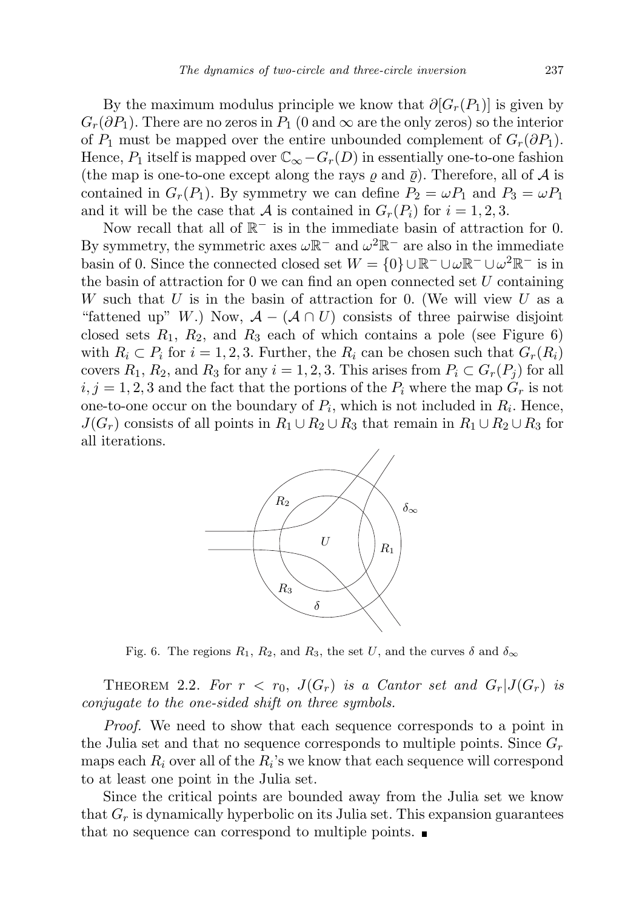By the maximum modulus principle we know that  $\partial [G_r(P_1)]$  is given by  $G_r(\partial P_1)$ . There are no zeros in  $P_1$  (0 and  $\infty$  are the only zeros) so the interior of  $P_1$  must be mapped over the entire unbounded complement of  $G_r(\partial P_1)$ . Hence,  $P_1$  itself is mapped over  $\mathbb{C}_{\infty} - G_r(D)$  in essentially one-to-one fashion (the map is one-to-one except along the rays  $\rho$  and  $\bar{\rho}$ ). Therefore, all of A is contained in  $G_r(P_1)$ . By symmetry we can define  $P_2 = \omega P_1$  and  $P_3 = \omega P_1$ and it will be the case that A is contained in  $G_r(P_i)$  for  $i = 1, 2, 3$ .

Now recall that all of  $\mathbb{R}^-$  is in the immediate basin of attraction for 0. By symmetry, the symmetric axes  $\omega \mathbb{R}^-$  and  $\omega^2 \mathbb{R}^-$  are also in the immediate basin of 0. Since the connected closed set  $W = \{0\} \cup \mathbb{R}^- \cup \omega \mathbb{R}^- \cup \omega^2 \mathbb{R}^-$  is in the basin of attraction for  $0$  we can find an open connected set  $U$  containing W such that U is in the basin of attraction for 0. (We will view U as a "fattened up" W.) Now,  $\mathcal{A} - (\mathcal{A} \cap U)$  consists of three pairwise disjoint closed sets  $R_1$ ,  $R_2$ , and  $R_3$  each of which contains a pole (see Figure 6) with  $R_i \subset P_i$  for  $i = 1, 2, 3$ . Further, the  $R_i$  can be chosen such that  $G_r(R_i)$ covers  $R_1, R_2$ , and  $R_3$  for any  $i = 1, 2, 3$ . This arises from  $P_i \subset G_r(P_j)$  for all  $i, j = 1, 2, 3$  and the fact that the portions of the  $P_i$  where the map  $G_r$  is not one-to-one occur on the boundary of  $P_i$ , which is not included in  $R_i$ . Hence,  $J(G_r)$  consists of all points in  $R_1 \cup R_2 \cup R_3$  that remain in  $R_1 \cup R_2 \cup R_3$  for all iterations.



Fig. 6. The regions  $R_1$ ,  $R_2$ , and  $R_3$ , the set U, and the curves  $\delta$  and  $\delta_{\infty}$ 

THEOREM 2.2. For  $r < r_0$ ,  $J(G_r)$  is a Cantor set and  $G_r | J(G_r)$  is conjugate to the one-sided shift on three symbols.

Proof. We need to show that each sequence corresponds to a point in the Julia set and that no sequence corresponds to multiple points. Since  $G_r$ maps each  $R_i$  over all of the  $R_i$ 's we know that each sequence will correspond to at least one point in the Julia set.

Since the critical points are bounded away from the Julia set we know that  $G_r$  is dynamically hyperbolic on its Julia set. This expansion guarantees that no sequence can correspond to multiple points.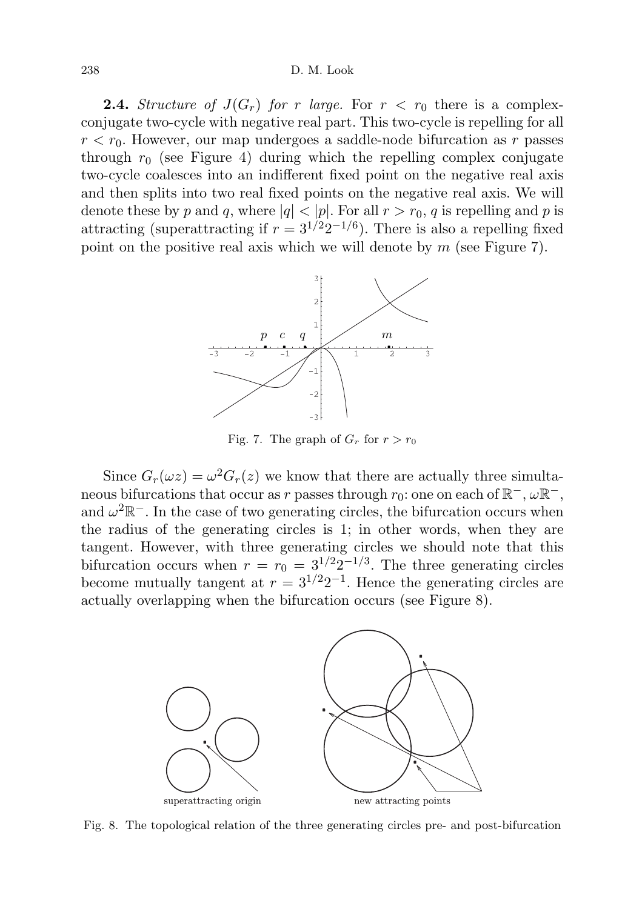# 238 D. M. Look

**2.4.** Structure of  $J(G_r)$  for r large. For  $r < r_0$  there is a complexconjugate two-cycle with negative real part. This two-cycle is repelling for all  $r < r_0$ . However, our map undergoes a saddle-node bifurcation as r passes through  $r_0$  (see Figure 4) during which the repelling complex conjugate two-cycle coalesces into an indifferent fixed point on the negative real axis and then splits into two real fixed points on the negative real axis. We will denote these by p and q, where  $|q| < |p|$ . For all  $r > r_0$ , q is repelling and p is attracting (superattracting if  $r = 3^{1/2}2^{-1/6}$ ). There is also a repelling fixed point on the positive real axis which we will denote by  $m$  (see Figure 7).



Fig. 7. The graph of  $G_r$  for  $r > r_0$ 

Since  $G_r(\omega z) = \omega^2 G_r(z)$  we know that there are actually three simultaneous bifurcations that occur as r passes through  $r_0$ : one on each of  $\mathbb{R}^-$ ,  $\omega \mathbb{R}^-$ , and  $\omega^2 \mathbb{R}^-$ . In the case of two generating circles, the bifurcation occurs when the radius of the generating circles is 1; in other words, when they are tangent. However, with three generating circles we should note that this bifurcation occurs when  $r = r_0 = 3^{1/2}2^{-1/3}$ . The three generating circles become mutually tangent at  $r = 3^{1/2}2^{-1}$ . Hence the generating circles are actually overlapping when the bifurcation occurs (see Figure 8).



Fig. 8. The topological relation of the three generating circles pre- and post-bifurcation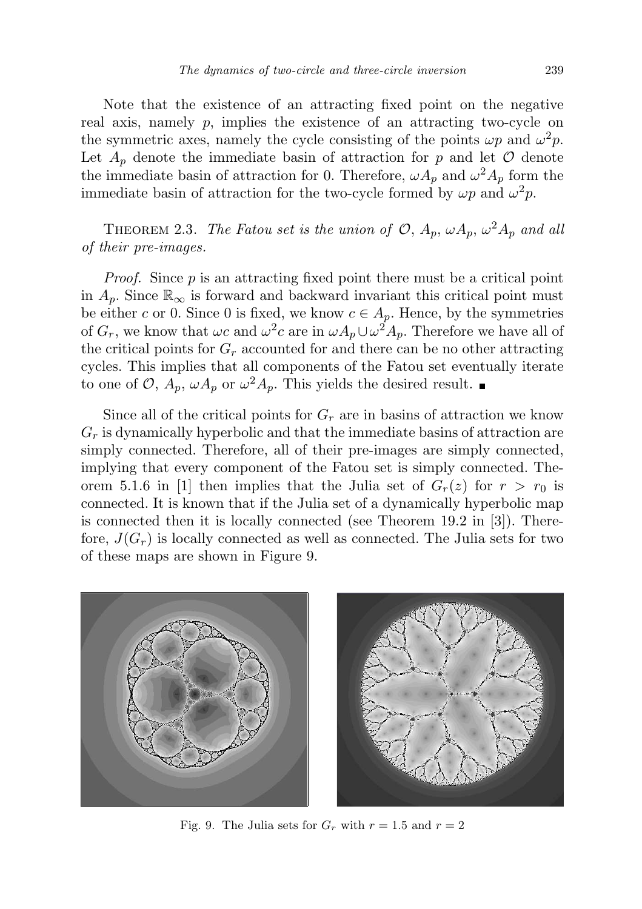Note that the existence of an attracting fixed point on the negative real axis, namely  $p$ , implies the existence of an attracting two-cycle on the symmetric axes, namely the cycle consisting of the points  $\omega p$  and  $\omega^2 p$ . Let  $A_p$  denote the immediate basin of attraction for p and let  $\mathcal O$  denote the immediate basin of attraction for 0. Therefore,  $\omega A_p$  and  $\omega^2 A_p$  form the immediate basin of attraction for the two-cycle formed by  $\omega p$  and  $\omega^2 p$ .

THEOREM 2.3. The Fatou set is the union of  $\mathcal{O}, A_p, \omega A_p, \omega^2 A_p$  and all of their pre-images.

Proof. Since p is an attracting fixed point there must be a critical point in  $A_p$ . Since  $\mathbb{R}_{\infty}$  is forward and backward invariant this critical point must be either c or 0. Since 0 is fixed, we know  $c \in A_p$ . Hence, by the symmetries of  $G_r$ , we know that  $\omega c$  and  $\omega^2 c$  are in  $\omega A_p \cup \omega^2 A_p$ . Therefore we have all of the critical points for  $G_r$  accounted for and there can be no other attracting cycles. This implies that all components of the Fatou set eventually iterate to one of  $\mathcal{O}, A_p, \omega A_p$  or  $\omega^2 A_p$ . This yields the desired result.

Since all of the critical points for  $G_r$  are in basins of attraction we know  $G_r$  is dynamically hyperbolic and that the immediate basins of attraction are simply connected. Therefore, all of their pre-images are simply connected, implying that every component of the Fatou set is simply connected. Theorem 5.1.6 in [1] then implies that the Julia set of  $G_r(z)$  for  $r > r_0$  is connected. It is known that if the Julia set of a dynamically hyperbolic map is connected then it is locally connected (see Theorem 19.2 in [3]). Therefore,  $J(G_r)$  is locally connected as well as connected. The Julia sets for two of these maps are shown in Figure 9.



Fig. 9. The Julia sets for  $G_r$  with  $r = 1.5$  and  $r = 2$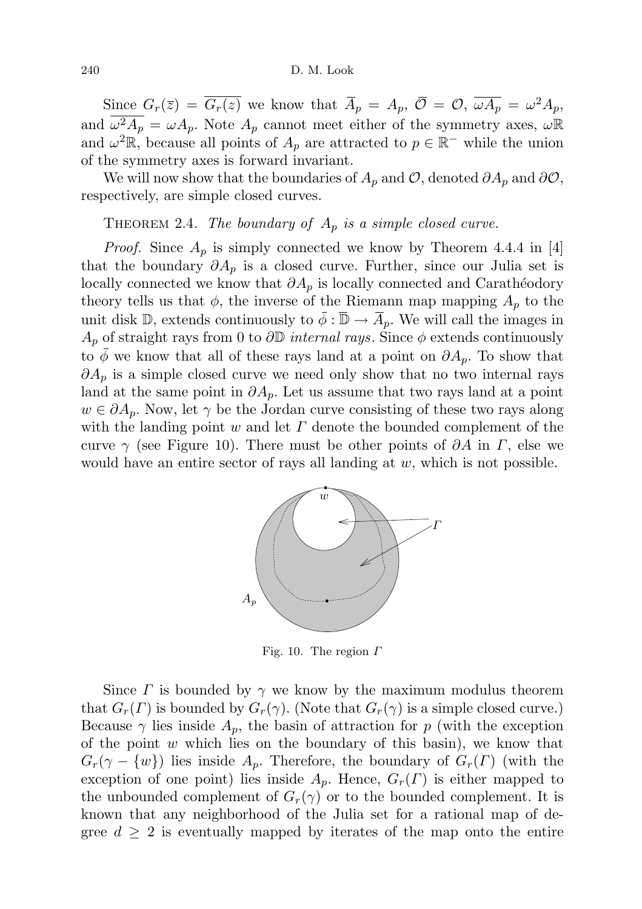Since  $G_r(\bar{z}) = \overline{G_r(z)}$  we know that  $\overline{A}_p = A_p$ ,  $\overline{\mathcal{O}} = \mathcal{O}, \overline{\omega A_p} = \omega^2 A_p$ , and  $\omega^2 A_p = \omega A_p$ . Note  $A_p$  cannot meet either of the symmetry axes,  $\omega \mathbb{R}$ and  $\omega^2 \mathbb{R}$ , because all points of  $A_p$  are attracted to  $p \in \mathbb{R}^-$  while the union of the symmetry axes is forward invariant.

We will now show that the boundaries of  $A_p$  and  $\mathcal{O}$ , denoted  $\partial A_p$  and  $\partial \mathcal{O}$ , respectively, are simple closed curves.

THEOREM 2.4. The boundary of  $A_p$  is a simple closed curve.

*Proof.* Since  $A_p$  is simply connected we know by Theorem 4.4.4 in [4] that the boundary  $\partial A_p$  is a closed curve. Further, since our Julia set is locally connected we know that  $\partial A_p$  is locally connected and Carathéodory theory tells us that  $\phi$ , the inverse of the Riemann map mapping  $A_p$  to the unit disk D, extends continuously to  $\bar{\phi} : \bar{\mathbb{D}} \to \bar{A}_p$ . We will call the images in  $A_p$  of straight rays from 0 to  $\partial \mathbb{D}$  internal rays. Since  $\phi$  extends continuously to  $\phi$  we know that all of these rays land at a point on  $\partial A_p$ . To show that  $\partial A_p$  is a simple closed curve we need only show that no two internal rays land at the same point in  $\partial A_p$ . Let us assume that two rays land at a point  $w \in \partial A_p$ . Now, let  $\gamma$  be the Jordan curve consisting of these two rays along with the landing point w and let  $\Gamma$  denote the bounded complement of the curve  $\gamma$  (see Figure 10). There must be other points of  $\partial A$  in  $\Gamma$ , else we would have an entire sector of rays all landing at  $w$ , which is not possible.



Fig. 10. The region  $\Gamma$ 

Since  $\Gamma$  is bounded by  $\gamma$  we know by the maximum modulus theorem that  $G_r(\Gamma)$  is bounded by  $G_r(\gamma)$ . (Note that  $G_r(\gamma)$  is a simple closed curve.) Because  $\gamma$  lies inside  $A_p$ , the basin of attraction for p (with the exception of the point  $w$  which lies on the boundary of this basin), we know that  $G_r(\gamma - \{w\})$  lies inside  $A_p$ . Therefore, the boundary of  $G_r(\Gamma)$  (with the exception of one point) lies inside  $A_p$ . Hence,  $G_r(\Gamma)$  is either mapped to the unbounded complement of  $G_r(\gamma)$  or to the bounded complement. It is known that any neighborhood of the Julia set for a rational map of degree  $d \geq 2$  is eventually mapped by iterates of the map onto the entire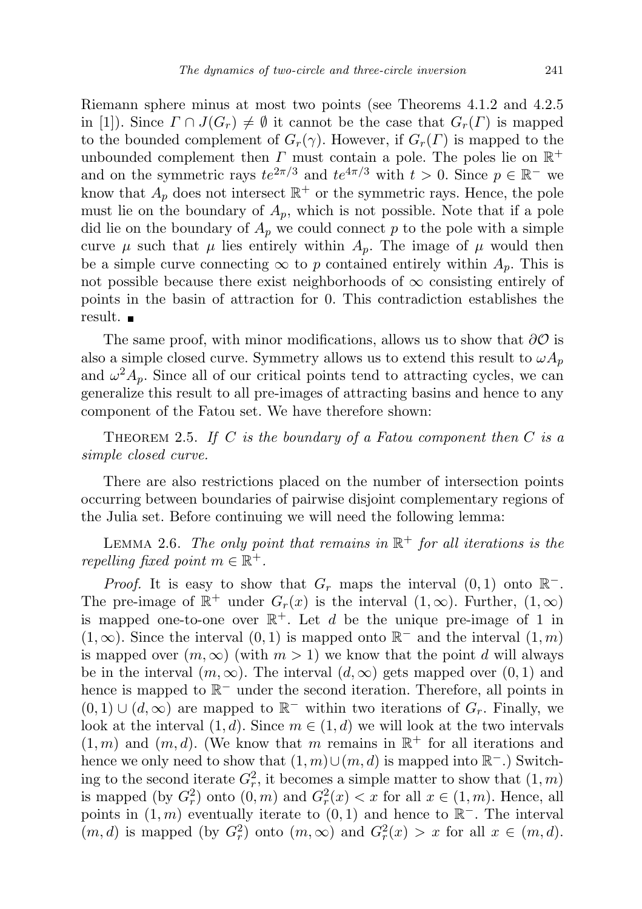Riemann sphere minus at most two points (see Theorems 4.1.2 and 4.2.5 in [1]). Since  $\Gamma \cap J(G_r) \neq \emptyset$  it cannot be the case that  $G_r(\Gamma)$  is mapped to the bounded complement of  $G_r(\gamma)$ . However, if  $G_r(\Gamma)$  is mapped to the unbounded complement then  $\Gamma$  must contain a pole. The poles lie on  $\mathbb{R}^+$ and on the symmetric rays  $te^{2\pi/3}$  and  $te^{4\pi/3}$  with  $t > 0$ . Since  $p \in \mathbb{R}^-$  we know that  $A_p$  does not intersect  $\mathbb{R}^+$  or the symmetric rays. Hence, the pole must lie on the boundary of  $A_p$ , which is not possible. Note that if a pole did lie on the boundary of  $A_p$  we could connect p to the pole with a simple curve  $\mu$  such that  $\mu$  lies entirely within  $A_p$ . The image of  $\mu$  would then be a simple curve connecting  $\infty$  to p contained entirely within  $A_p$ . This is not possible because there exist neighborhoods of  $\infty$  consisting entirely of points in the basin of attraction for 0. This contradiction establishes the result.

The same proof, with minor modifications, allows us to show that  $\partial O$  is also a simple closed curve. Symmetry allows us to extend this result to  $\omega A_p$ and  $\omega^2 A_p$ . Since all of our critical points tend to attracting cycles, we can generalize this result to all pre-images of attracting basins and hence to any component of the Fatou set. We have therefore shown:

THEOREM 2.5. If C is the boundary of a Fatou component then C is a simple closed curve.

There are also restrictions placed on the number of intersection points occurring between boundaries of pairwise disjoint complementary regions of the Julia set. Before continuing we will need the following lemma:

LEMMA 2.6. The only point that remains in  $\mathbb{R}^+$  for all iterations is the repelling fixed point  $m \in \mathbb{R}^+$ .

*Proof.* It is easy to show that  $G_r$  maps the interval  $(0, 1)$  onto  $\mathbb{R}^-$ . The pre-image of  $\mathbb{R}^+$  under  $G_r(x)$  is the interval  $(1,\infty)$ . Further,  $(1,\infty)$ is mapped one-to-one over  $\mathbb{R}^+$ . Let d be the unique pre-image of 1 in  $(1, \infty)$ . Since the interval  $(0, 1)$  is mapped onto  $\mathbb{R}^-$  and the interval  $(1, m)$ is mapped over  $(m, \infty)$  (with  $m > 1$ ) we know that the point d will always be in the interval  $(m, \infty)$ . The interval  $(d, \infty)$  gets mapped over  $(0, 1)$  and hence is mapped to  $\mathbb{R}^-$  under the second iteration. Therefore, all points in  $(0, 1) \cup (d, \infty)$  are mapped to  $\mathbb{R}^-$  within two iterations of  $G_r$ . Finally, we look at the interval  $(1, d)$ . Since  $m \in (1, d)$  we will look at the two intervals  $(1, m)$  and  $(m, d)$ . (We know that m remains in  $\mathbb{R}^+$  for all iterations and hence we only need to show that  $(1, m) \cup (m, d)$  is mapped into  $\mathbb{R}^-$ .) Switching to the second iterate  $G_r^2$ , it becomes a simple matter to show that  $(1, m)$ is mapped (by  $G_r^2$ ) onto  $(0, m)$  and  $G_r^2(x) < x$  for all  $x \in (1, m)$ . Hence, all points in  $(1, m)$  eventually iterate to  $(0, 1)$  and hence to  $\mathbb{R}^-$ . The interval  $(m, d)$  is mapped (by  $G_r^2$ ) onto  $(m, \infty)$  and  $G_r^2(x) > x$  for all  $x \in (m, d)$ .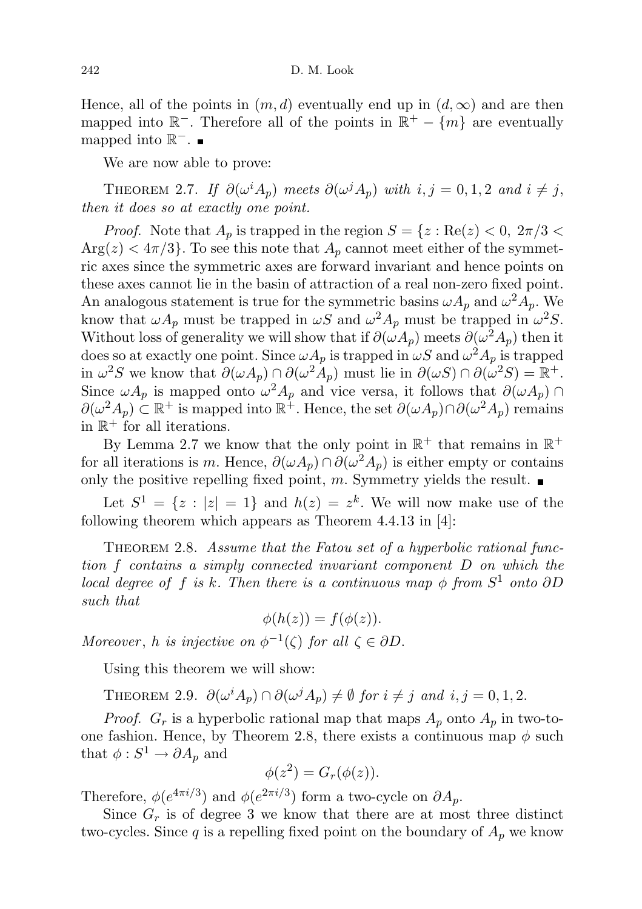Hence, all of the points in  $(m, d)$  eventually end up in  $(d, \infty)$  and are then mapped into  $\mathbb{R}^-$ . Therefore all of the points in  $\mathbb{R}^+ - \{m\}$  are eventually mapped into  $\mathbb{R}^-$ .

We are now able to prove:

THEOREM 2.7. If  $\partial(\omega^i A_p)$  meets  $\partial(\omega^j A_p)$  with  $i, j = 0, 1, 2$  and  $i \neq j$ , then it does so at exactly one point.

*Proof.* Note that  $A_p$  is trapped in the region  $S = \{z : \text{Re}(z) < 0, 2\pi/3 < \infty\}$  $Arg(z) < 4\pi/3$ . To see this note that  $A_p$  cannot meet either of the symmetric axes since the symmetric axes are forward invariant and hence points on these axes cannot lie in the basin of attraction of a real non-zero fixed point. An analogous statement is true for the symmetric basins  $\omega A_p$  and  $\omega^2 A_p$ . We know that  $\omega A_p$  must be trapped in  $\omega S$  and  $\omega^2 A_p$  must be trapped in  $\omega^2 S$ . Without loss of generality we will show that if  $\partial(\omega A_p)$  meets  $\partial(\omega^2 A_p)$  then it does so at exactly one point. Since  $\omega A_p$  is trapped in  $\omega S$  and  $\omega^2 A_p$  is trapped in  $\omega^2 S$  we know that  $\partial(\omega A_p) \cap \partial(\omega^2 A_p)$  must lie in  $\partial(\omega S) \cap \partial(\omega^2 S) = \mathbb{R}^+$ . Since  $\omega A_p$  is mapped onto  $\omega^2 A_p$  and vice versa, it follows that  $\partial(\omega A_p)$  $\partial(\omega^2 A_p) \subset \mathbb{R}^+$  is mapped into  $\mathbb{R}^+$ . Hence, the set  $\partial(\omega A_p) \cap \partial(\omega^2 A_p)$  remains in  $\mathbb{R}^+$  for all iterations.

By Lemma 2.7 we know that the only point in  $\mathbb{R}^+$  that remains in  $\mathbb{R}^+$ for all iterations is m. Hence,  $\partial(\omega A_p) \cap \partial(\omega^2 A_p)$  is either empty or contains only the positive repelling fixed point, m. Symmetry yields the result.  $\blacksquare$ 

Let  $S^1 = \{z : |z| = 1\}$  and  $h(z) = z^k$ . We will now make use of the following theorem which appears as Theorem 4.4.13 in [4]:

THEOREM 2.8. Assume that the Fatou set of a hyperbolic rational function f contains a simply connected invariant component D on which the local degree of f is k. Then there is a continuous map  $\phi$  from  $S^1$  onto  $\partial D$ such that

$$
\phi(h(z)) = f(\phi(z)).
$$

Moreover, h is injective on  $\phi^{-1}(\zeta)$  for all  $\zeta \in \partial D$ .

Using this theorem we will show:

THEOREM 2.9.  $\partial(\omega^i A_p) \cap \partial(\omega^j A_p) \neq \emptyset$  for  $i \neq j$  and  $i, j = 0, 1, 2$ .

*Proof.*  $G_r$  is a hyperbolic rational map that maps  $A_p$  onto  $A_p$  in two-toone fashion. Hence, by Theorem 2.8, there exists a continuous map  $\phi$  such that  $\phi: S^1 \to \partial A_p$  and

$$
\phi(z^2) = G_r(\phi(z)).
$$

Therefore,  $\phi(e^{4\pi i/3})$  and  $\phi(e^{2\pi i/3})$  form a two-cycle on  $\partial A_p$ .

Since  $G_r$  is of degree 3 we know that there are at most three distinct two-cycles. Since q is a repelling fixed point on the boundary of  $A_p$  we know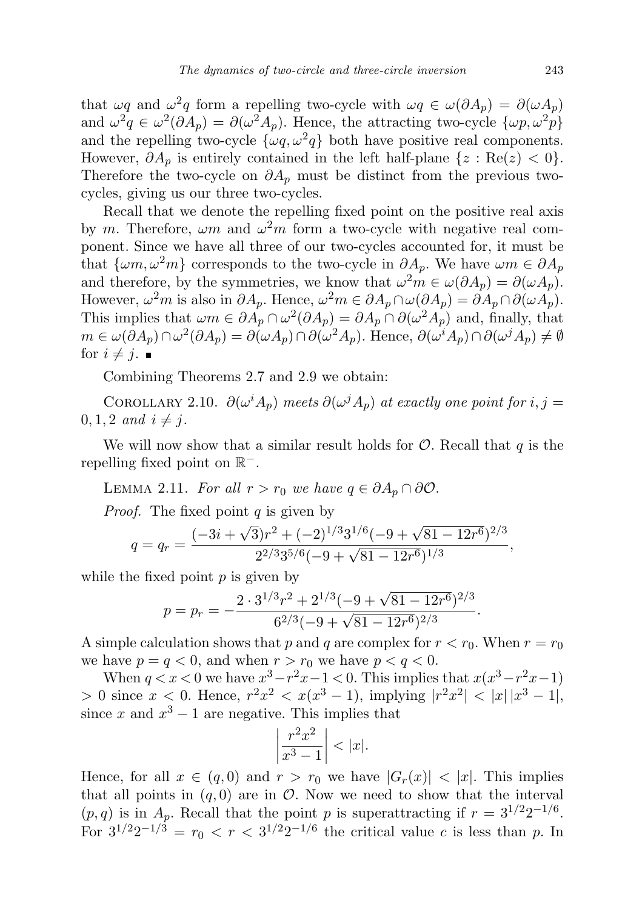that  $\omega q$  and  $\omega^2 q$  form a repelling two-cycle with  $\omega q \in \omega(\partial A_p) = \partial(\omega A_p)$ and  $\omega^2 q \in \omega^2(\partial A_p) = \partial(\omega^2 A_p)$ . Hence, the attracting two-cycle  $\{\omega p, \omega^2 p\}$ and the repelling two-cycle  $\{\omega q, \omega^2 q\}$  both have positive real components. However,  $\partial A_p$  is entirely contained in the left half-plane  $\{z : \text{Re}(z) < 0\}.$ Therefore the two-cycle on  $\partial A_p$  must be distinct from the previous twocycles, giving us our three two-cycles.

Recall that we denote the repelling fixed point on the positive real axis by m. Therefore,  $\omega m$  and  $\omega^2 m$  form a two-cycle with negative real component. Since we have all three of our two-cycles accounted for, it must be that  $\{\omega m, \omega^2 m\}$  corresponds to the two-cycle in  $\partial A_n$ . We have  $\omega m \in \partial A_n$ and therefore, by the symmetries, we know that  $\omega^2 m \in \omega(\partial A_p) = \partial(\omega A_p)$ . However,  $\omega^2 m$  is also in  $\partial A_p$ . Hence,  $\omega^2 m \in \partial A_p \cap \omega(\partial A_p) = \partial A_p \cap \partial (\omega A_p)$ . This implies that  $\omega m \in \partial A_p \cap \omega^2(\partial A_p) = \partial A_p \cap \partial (\omega^2 A_p)$  and, finally, that  $m \in \omega(\partial A_p) \cap \omega^2(\partial A_p) = \partial(\omega A_p) \cap \partial(\omega^2 A_p)$ . Hence,  $\partial(\omega^i A_p) \cap \partial(\omega^j A_p) \neq \emptyset$ for  $i \neq j$ .

Combining Theorems 2.7 and 2.9 we obtain:

COROLLARY 2.10.  $\partial(\omega^i A_p)$  meets  $\partial(\omega^j A_p)$  at exactly one point for  $i, j =$  $0, 1, 2 \text{ and } i \neq j.$ 

We will now show that a similar result holds for  $\mathcal{O}$ . Recall that  $q$  is the repelling fixed point on  $\mathbb{R}^-$ .

LEMMA 2.11. For all  $r > r_0$  we have  $q \in \partial A_p \cap \partial \mathcal{O}$ .

*Proof.* The fixed point  $q$  is given by

$$
q = q_r = \frac{(-3i + \sqrt{3})r^2 + (-2)^{1/3}3^{1/6}(-9 + \sqrt{81 - 12r^6})^{2/3}}{2^{2/3}3^{5/6}(-9 + \sqrt{81 - 12r^6})^{1/3}},
$$

while the fixed point  $p$  is given by

$$
p = p_r = -\frac{2 \cdot 3^{1/3} r^2 + 2^{1/3} (-9 + \sqrt{81 - 12r^6})^{2/3}}{6^{2/3} (-9 + \sqrt{81 - 12r^6})^{2/3}}.
$$

A simple calculation shows that p and q are complex for  $r < r_0$ . When  $r = r_0$ we have  $p = q < 0$ , and when  $r > r_0$  we have  $p < q < 0$ .

When  $q < x < 0$  we have  $x^3 - r^2x - 1 < 0$ . This implies that  $x(x^3 - r^2x - 1)$  $> 0$  since  $x < 0$ . Hence,  $r^2x^2 < x(x^3 - 1)$ , implying  $|r^2x^2| < |x||x^3 - 1|$ , since x and  $x^3 - 1$  are negative. This implies that

$$
\left|\frac{r^2x^2}{x^3-1}\right| < |x|.
$$

Hence, for all  $x \in (q, 0)$  and  $r > r_0$  we have  $|G_r(x)| < |x|$ . This implies that all points in  $(q, 0)$  are in  $\mathcal O$ . Now we need to show that the interval  $(p, q)$  is in  $A_p$ . Recall that the point p is superattracting if  $r = 3^{1/2}2^{-1/6}$ . For  $3^{1/2}2^{-1/3} = r_0 < r < 3^{1/2}2^{-1/6}$  the critical value c is less than p. In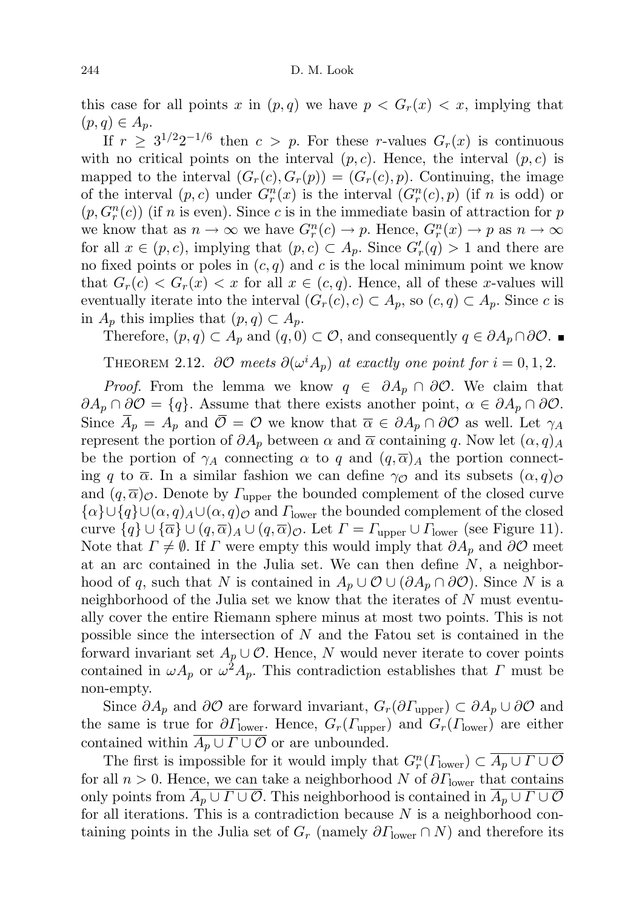this case for all points x in  $(p,q)$  we have  $p \lt G_r(x) \lt x$ , implying that  $(p, q) \in A_p$ .

If  $r \geq 3^{1/2}2^{-1/6}$  then  $c > p$ . For these r-values  $G_r(x)$  is continuous with no critical points on the interval  $(p, c)$ . Hence, the interval  $(p, c)$  is mapped to the interval  $(G_r(c), G_r(p)) = (G_r(c), p)$ . Continuing, the image of the interval  $(p, c)$  under  $G_r^n(x)$  is the interval  $(G_r^n(c), p)$  (if n is odd) or  $(p, G_r^n(c))$  (if n is even). Since c is in the immediate basin of attraction for p we know that as  $n \to \infty$  we have  $G_r^n(c) \to p$ . Hence,  $G_r^n(x) \to p$  as  $n \to \infty$ for all  $x \in (p, c)$ , implying that  $(p, c) \subset A_p$ . Since  $G'_r(q) > 1$  and there are no fixed points or poles in  $(c, q)$  and c is the local minimum point we know that  $G_r(c) < G_r(x) < x$  for all  $x \in (c, q)$ . Hence, all of these x-values will eventually iterate into the interval  $(G_r(c), c) \subset A_p$ , so  $(c, q) \subset A_p$ . Since c is in  $A_p$  this implies that  $(p, q) \subset A_p$ .

Therefore,  $(p, q) \subset A_p$  and  $(q, 0) \subset O$ , and consequently  $q \in \partial A_p \cap \partial O$ . ■

THEOREM 2.12.  $\partial \mathcal{O}$  meets  $\partial(\omega^i A_p)$  at exactly one point for  $i = 0, 1, 2$ .

*Proof.* From the lemma we know  $q \in \partial A_p \cap \partial \mathcal{O}$ . We claim that  $\partial A_p \cap \partial \mathcal{O} = \{q\}.$  Assume that there exists another point,  $\alpha \in \partial A_p \cap \partial \mathcal{O}$ . Since  $\overline{A}_p = A_p$  and  $\overline{\mathcal{O}} = \mathcal{O}$  we know that  $\overline{\alpha} \in \partial A_p \cap \partial \mathcal{O}$  as well. Let  $\gamma_A$ represent the portion of  $\partial A_p$  between  $\alpha$  and  $\overline{\alpha}$  containing q. Now let  $(\alpha, q)_A$ be the portion of  $\gamma_A$  connecting  $\alpha$  to q and  $(q,\overline{\alpha})_A$  the portion connecting q to  $\overline{\alpha}$ . In a similar fashion we can define  $\gamma_{\mathcal{O}}$  and its subsets  $(\alpha, q)_{\mathcal{O}}$ and  $(q, \overline{\alpha})_O$ . Denote by  $\Gamma_{\text{upper}}$  the bounded complement of the closed curve  $\{\alpha\} \cup \{q\} \cup (\alpha, q) \cup (\alpha, q)$  and  $\Gamma_{\text{lower}}$  the bounded complement of the closed curve  $\{q\} \cup \{\overline{\alpha}\} \cup (q,\overline{\alpha})_A \cup (q,\overline{\alpha})_C$ . Let  $\Gamma = \Gamma_{\text{upper}} \cup \Gamma_{\text{lower}}$  (see Figure 11). Note that  $\Gamma \neq \emptyset$ . If  $\Gamma$  were empty this would imply that  $\partial A_p$  and  $\partial \mathcal{O}$  meet at an arc contained in the Julia set. We can then define  $N$ , a neighborhood of q, such that N is contained in  $A_p \cup \mathcal{O} \cup (\partial A_p \cap \partial \mathcal{O})$ . Since N is a neighborhood of the Julia set we know that the iterates of  $N$  must eventually cover the entire Riemann sphere minus at most two points. This is not possible since the intersection of N and the Fatou set is contained in the forward invariant set  $A_p \cup \mathcal{O}$ . Hence, N would never iterate to cover points contained in  $\omega A_p$  or  $\omega^2 A_p$ . This contradiction establishes that  $\Gamma$  must be non-empty.

Since  $\partial A_p$  and  $\partial O$  are forward invariant,  $G_r(\partial \Gamma_{\text{upper}}) \subset \partial A_p \cup \partial O$  and the same is true for  $\partial \Gamma_{\text{lower}}$ . Hence,  $G_r(\Gamma_{\text{upper}})$  and  $G_r(\Gamma_{\text{lower}})$  are either contained within  $\overline{A_p \cup \Gamma \cup \mathcal{O}}$  or are unbounded.

The first is impossible for it would imply that  $G_r^n(\Gamma_{\text{lower}}) \subset \overline{A_p \cup \Gamma \cup \mathcal{O}}$ for all  $n > 0$ . Hence, we can take a neighborhood N of  $\partial\Gamma_{\text{lower}}$  that contains only points from  $\overline{A_p \cup \Gamma \cup \mathcal{O}}$ . This neighborhood is contained in  $\overline{A_p \cup \Gamma \cup \mathcal{O}}$ for all iterations. This is a contradiction because  $N$  is a neighborhood containing points in the Julia set of  $G_r$  (namely  $\partial \Gamma_{\text{lower}} \cap N$ ) and therefore its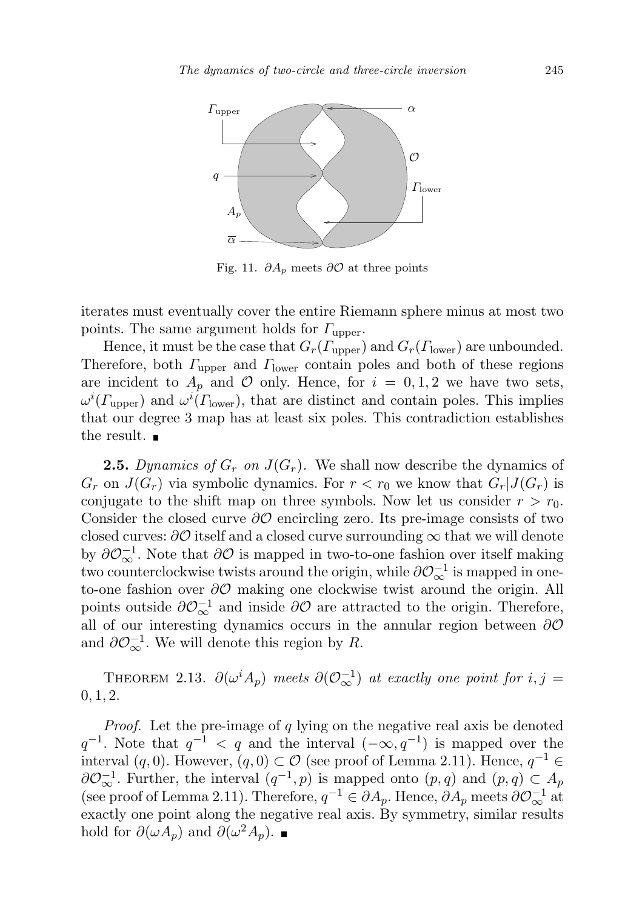

Fig. 11.  $\partial A_p$  meets  $\partial O$  at three points

iterates must eventually cover the entire Riemann sphere minus at most two points. The same argument holds for  $\Gamma_{\text{upper}}$ .

Hence, it must be the case that  $G_r(\Gamma_{\text{upper}})$  and  $G_r(\Gamma_{\text{lower}})$  are unbounded. Therefore, both  $\Gamma_{\text{upper}}$  and  $\Gamma_{\text{lower}}$  contain poles and both of these regions are incident to  $A_p$  and  $\mathcal O$  only. Hence, for  $i = 0, 1, 2$  we have two sets,  $\omega^{i}(T_{\text{upper}})$  and  $\omega^{i}(T_{\text{lower}})$ , that are distinct and contain poles. This implies that our degree 3 map has at least six poles. This contradiction establishes the result.  $\blacksquare$ 

**2.5.** Dynamics of  $G_r$  on  $J(G_r)$ . We shall now describe the dynamics of  $G_r$  on  $J(G_r)$  via symbolic dynamics. For  $r < r_0$  we know that  $G_r | J(G_r)$  is conjugate to the shift map on three symbols. Now let us consider  $r > r_0$ . Consider the closed curve  $\partial\mathcal{O}$  encircling zero. Its pre-image consists of two closed curves:  $\partial\mathcal{O}$  itself and a closed curve surrounding  $\infty$  that we will denote by  $\partial \mathcal{O}_{\infty}^{-1}$ . Note that  $\partial \mathcal{O}$  is mapped in two-to-one fashion over itself making two counterclockwise twists around the origin, while  $\partial \mathcal{O}_{\infty}^{-1}$  is mapped in oneto-one fashion over ∂O making one clockwise twist around the origin. All points outside  $\partial \mathcal{O}_{\infty}^{-1}$  and inside  $\partial \mathcal{O}$  are attracted to the origin. Therefore, all of our interesting dynamics occurs in the annular region between  $\partial \mathcal{O}$ and  $\partial \mathcal{O}_{\infty}^{-1}$ . We will denote this region by R.

THEOREM 2.13.  $\partial(\omega^i A_p)$  meets  $\partial(\mathcal{O}_{\infty}^{-1})$  at exactly one point for  $i, j =$  $0, 1, 2.$ 

*Proof.* Let the pre-image of  $q$  lying on the negative real axis be denoted  $q^{-1}$ . Note that  $q^{-1} < q$  and the interval  $(-\infty, q^{-1})$  is mapped over the interval  $(q, 0)$ . However,  $(q, 0) \subset \mathcal{O}$  (see proof of Lemma 2.11). Hence,  $q^{-1} \in$  $\partial \mathcal{O}_{\infty}^{-1}$ . Further, the interval  $(q^{-1}, p)$  is mapped onto  $(p, q)$  and  $(p, q) \subset A_p$ (see proof of Lemma 2.11). Therefore,  $q^{-1} \in \partial A_p$ . Hence,  $\partial A_p$  meets  $\partial \mathcal{O}_{\infty}^{-1}$  at exactly one point along the negative real axis. By symmetry, similar results hold for  $\partial(\omega A_p)$  and  $\partial(\omega^2 A_p)$ .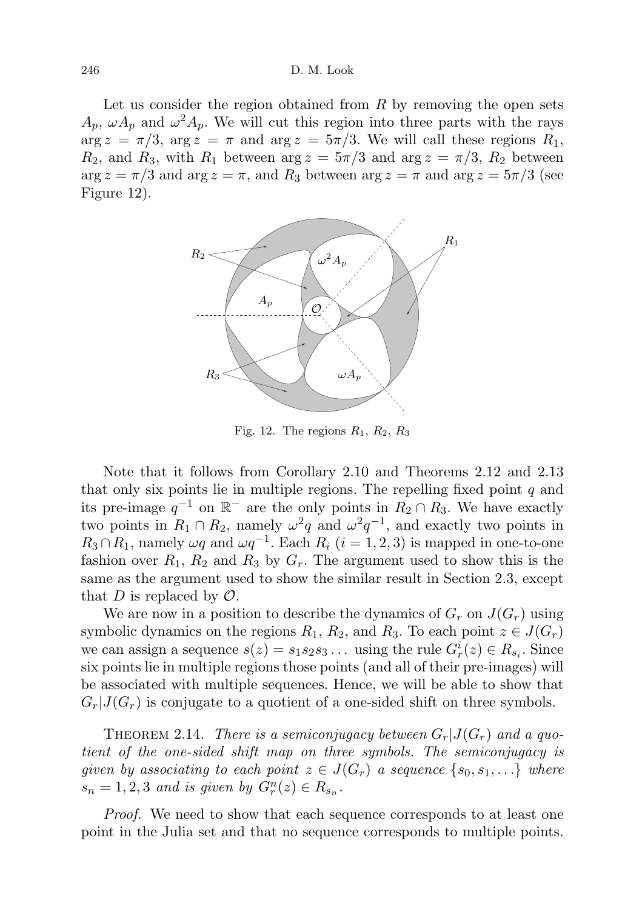Let us consider the region obtained from  $R$  by removing the open sets  $A_p$ ,  $\omega A_p$  and  $\omega^2 A_p$ . We will cut this region into three parts with the rays  $\arg z = \pi/3$ ,  $\arg z = \pi$  and  $\arg z = 5\pi/3$ . We will call these regions  $R_1$ ,  $R_2$ , and  $R_3$ , with  $R_1$  between  $\arg z = 5\pi/3$  and  $\arg z = \pi/3$ ,  $R_2$  between  $\arg z = \pi/3$  and  $\arg z = \pi$ , and  $R_3$  between  $\arg z = \pi$  and  $\arg z = 5\pi/3$  (see Figure 12).



Fig. 12. The regions  $R_1, R_2, R_3$ 

Note that it follows from Corollary 2.10 and Theorems 2.12 and 2.13 that only six points lie in multiple regions. The repelling fixed point  $q$  and its pre-image  $q^{-1}$  on  $\mathbb{R}^-$  are the only points in  $R_2 \cap R_3$ . We have exactly two points in  $R_1 \cap R_2$ , namely  $\omega^2 q$  and  $\omega^2 q^{-1}$ , and exactly two points in  $R_3 \cap R_1$ , namely  $\omega q$  and  $\omega q^{-1}$ . Each  $R_i$   $(i = 1, 2, 3)$  is mapped in one-to-one fashion over  $R_1$ ,  $R_2$  and  $R_3$  by  $G_r$ . The argument used to show this is the same as the argument used to show the similar result in Section 2.3, except that D is replaced by  $\mathcal{O}$ .

We are now in a position to describe the dynamics of  $G_r$  on  $J(G_r)$  using symbolic dynamics on the regions  $R_1, R_2$ , and  $R_3$ . To each point  $z \in J(G_r)$ we can assign a sequence  $s(z) = s_1 s_2 s_3 \dots$  using the rule  $G_r^i(z) \in R_{s_i}$ . Since six points lie in multiple regions those points (and all of their pre-images) will be associated with multiple sequences. Hence, we will be able to show that  $G_r|J(G_r)$  is conjugate to a quotient of a one-sided shift on three symbols.

THEOREM 2.14. There is a semiconjugacy between  $G_r|J(G_r)$  and a quotient of the one-sided shift map on three symbols. The semiconjugacy is given by associating to each point  $z \in J(G_r)$  a sequence  $\{s_0, s_1, \ldots\}$  where  $s_n = 1, 2, 3$  and is given by  $G_r^n(z) \in R_{s_n}$ .

Proof. We need to show that each sequence corresponds to at least one point in the Julia set and that no sequence corresponds to multiple points.